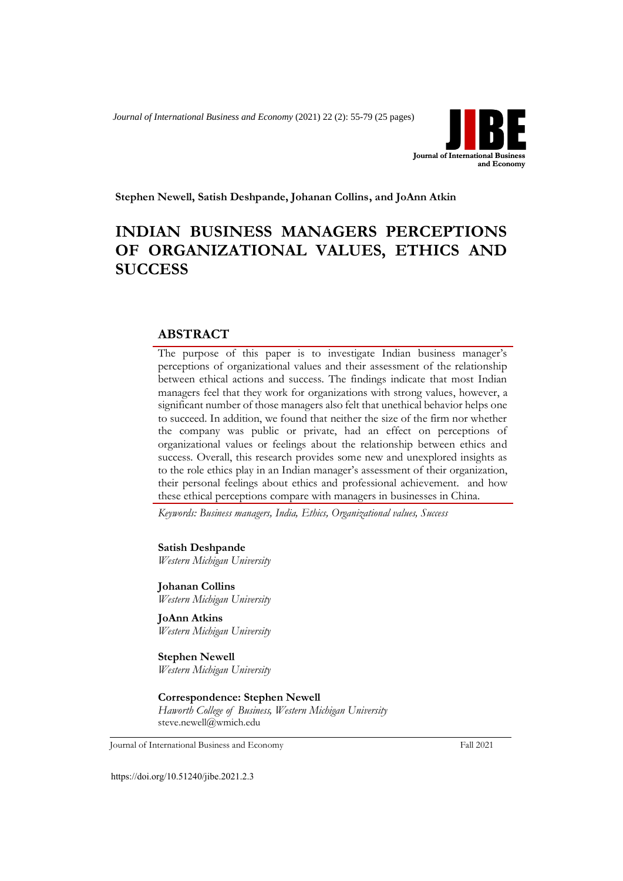*Journal of International Business and Economy* (2021) 22 (2): 55-79 (25 pages)



**Stephen Newell, Satish Deshpande, Johanan Collins, and JoAnn Atkin**

# **INDIAN BUSINESS MANAGERS PERCEPTIONS OF ORGANIZATIONAL VALUES, ETHICS AND SUCCESS**

## **ABSTRACT**

The purpose of this paper is to investigate Indian business manager's perceptions of organizational values and their assessment of the relationship between ethical actions and success. The findings indicate that most Indian managers feel that they work for organizations with strong values, however, a significant number of those managers also felt that unethical behavior helps one to succeed. In addition, we found that neither the size of the firm nor whether the company was public or private, had an effect on perceptions of organizational values or feelings about the relationship between ethics and success. Overall, this research provides some new and unexplored insights as to the role ethics play in an Indian manager's assessment of their organization, their personal feelings about ethics and professional achievement. and how these ethical perceptions compare with managers in businesses in China.

*Keywords: Business managers, India, Ethics, Organizational values, Success*

**Satish Deshpande** *Western Michigan University*

**Johanan Collins** *Western Michigan University*

**JoAnn Atkins** *Western Michigan University*

**Stephen Newell** *Western Michigan University*

## **Correspondence: Stephen Newell**

*Haworth College of Business, Western Michigan University* steve.newell@wmich.edu

Journal of International Business and Economy Fall 2021

https://doi.org/10.51240/jibe.2021.2.3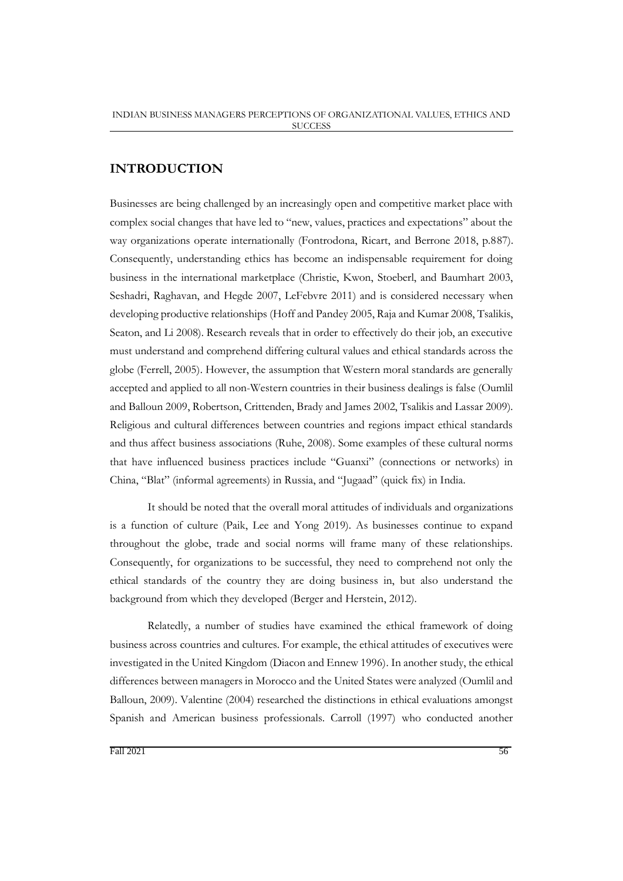## **INTRODUCTION**

Businesses are being challenged by an increasingly open and competitive market place with complex social changes that have led to "new, values, practices and expectations" about the way organizations operate internationally (Fontrodona, Ricart, and Berrone 2018, p.887). Consequently, understanding ethics has become an indispensable requirement for doing business in the international marketplace (Christie, Kwon, Stoeberl, and Baumhart 2003, Seshadri, Raghavan, and Hegde 2007, LeFebvre 2011) and is considered necessary when developing productive relationships (Hoff and Pandey 2005, Raja and Kumar 2008, Tsalikis, Seaton, and Li 2008). Research reveals that in order to effectively do their job, an executive must understand and comprehend differing cultural values and ethical standards across the globe (Ferrell, 2005). However, the assumption that Western moral standards are generally accepted and applied to all non-Western countries in their business dealings is false (Oumlil and Balloun 2009, Robertson, Crittenden, Brady and James 2002, Tsalikis and Lassar 2009). Religious and cultural differences between countries and regions impact ethical standards and thus affect business associations (Ruhe, 2008). Some examples of these cultural norms that have influenced business practices include "Guanxi" (connections or networks) in China, "Blat" (informal agreements) in Russia, and "Jugaad" (quick fix) in India.

It should be noted that the overall moral attitudes of individuals and organizations is a function of culture (Paik, Lee and Yong 2019). As businesses continue to expand throughout the globe, trade and social norms will frame many of these relationships. Consequently, for organizations to be successful, they need to comprehend not only the ethical standards of the country they are doing business in, but also understand the background from which they developed (Berger and Herstein, 2012).

Relatedly, a number of studies have examined the ethical framework of doing business across countries and cultures. For example, the ethical attitudes of executives were investigated in the United Kingdom (Diacon and Ennew 1996). In another study, the ethical differences between managers in Morocco and the United States were analyzed (Oumlil and Balloun, 2009). Valentine (2004) researched the distinctions in ethical evaluations amongst Spanish and American business professionals. Carroll (1997) who conducted another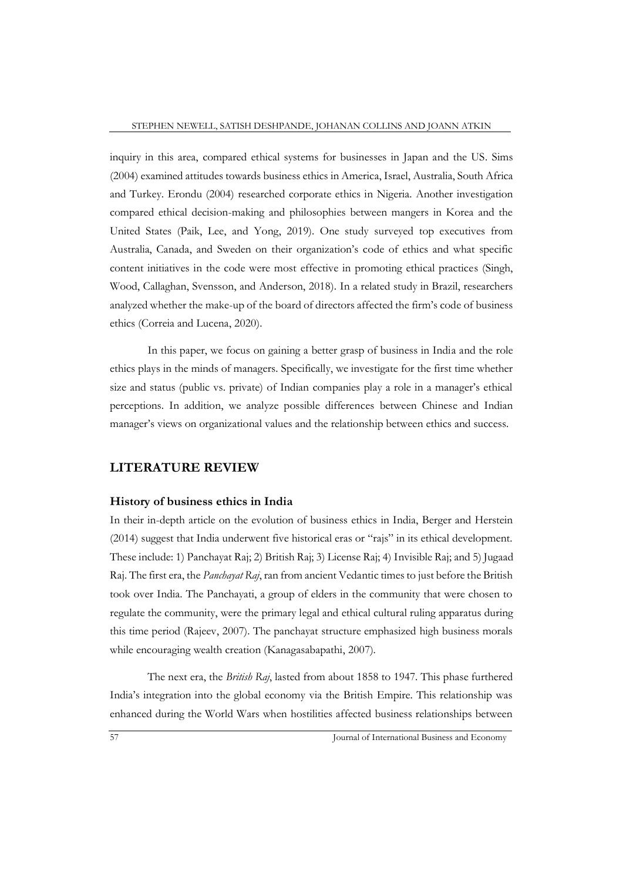inquiry in this area, compared ethical systems for businesses in Japan and the US. Sims (2004) examined attitudes towards business ethics in America, Israel, Australia, South Africa and Turkey. Erondu (2004) researched corporate ethics in Nigeria. Another investigation compared ethical decision-making and philosophies between mangers in Korea and the United States (Paik, Lee, and Yong, 2019). One study surveyed top executives from Australia, Canada, and Sweden on their organization's code of ethics and what specific content initiatives in the code were most effective in promoting ethical practices (Singh, Wood, Callaghan, Svensson, and Anderson, 2018). In a related study in Brazil, researchers analyzed whether the make-up of the board of directors affected the firm's code of business ethics (Correia and Lucena, 2020).

In this paper, we focus on gaining a better grasp of business in India and the role ethics plays in the minds of managers. Specifically, we investigate for the first time whether size and status (public vs. private) of Indian companies play a role in a manager's ethical perceptions. In addition, we analyze possible differences between Chinese and Indian manager's views on organizational values and the relationship between ethics and success.

## **LITERATURE REVIEW**

#### **History of business ethics in India**

In their in-depth article on the evolution of business ethics in India, Berger and Herstein (2014) suggest that India underwent five historical eras or "rajs" in its ethical development. These include: 1) Panchayat Raj; 2) British Raj; 3) License Raj; 4) Invisible Raj; and 5) Jugaad Raj. The first era, the *Panchayat Raj*, ran from ancient Vedantic times to just before the British took over India. The Panchayati, a group of elders in the community that were chosen to regulate the community, were the primary legal and ethical cultural ruling apparatus during this time period (Rajeev, 2007). The panchayat structure emphasized high business morals while encouraging wealth creation (Kanagasabapathi, 2007).

The next era, the *British Raj*, lasted from about 1858 to 1947. This phase furthered India's integration into the global economy via the British Empire. This relationship was enhanced during the World Wars when hostilities affected business relationships between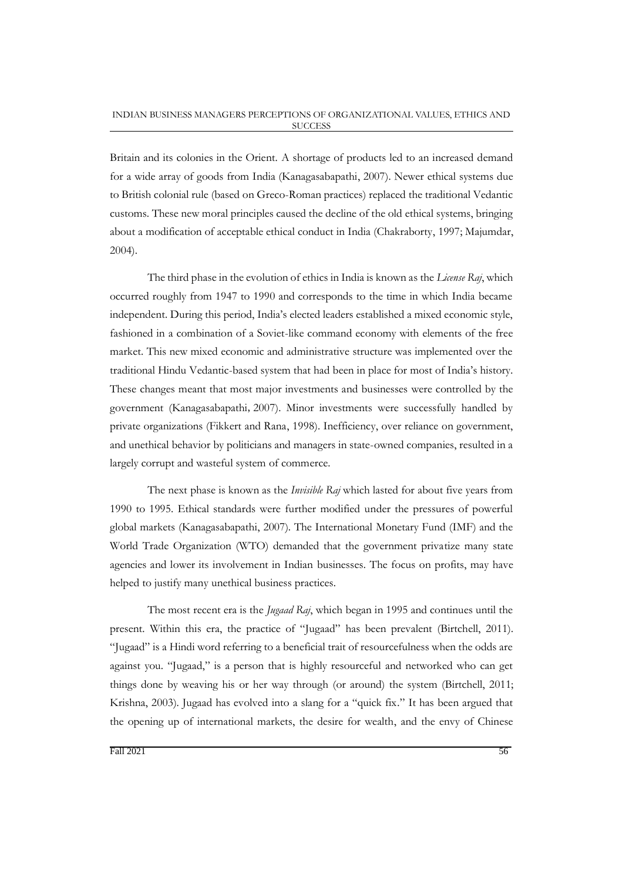Britain and its colonies in the Orient. A shortage of products led to an increased demand for a wide array of goods from India (Kanagasabapathi, 2007). Newer ethical systems due to British colonial rule (based on Greco-Roman practices) replaced the traditional Vedantic customs. These new moral principles caused the decline of the old ethical systems, bringing about a modification of acceptable ethical conduct in India (Chakraborty, 1997; Majumdar, 2004).

The third phase in the evolution of ethics in India is known as the *License Raj*, which occurred roughly from 1947 to 1990 and corresponds to the time in which India became independent. During this period, India's elected leaders established a mixed economic style, fashioned in a combination of a Soviet-like command economy with elements of the free market. This new mixed economic and administrative structure was implemented over the traditional Hindu Vedantic-based system that had been in place for most of India's history. These changes meant that most major investments and businesses were controlled by the government (Kanagasabapathi,2007). Minor investments were successfully handled by private organizations (Fikkert and Rana, 1998). Inefficiency, over reliance on government, and unethical behavior by politicians and managers in state-owned companies, resulted in a largely corrupt and wasteful system of commerce.

The next phase is known as the *Invisible Raj* which lasted for about five years from 1990 to 1995. Ethical standards were further modified under the pressures of powerful global markets (Kanagasabapathi, 2007). The International Monetary Fund (IMF) and the World Trade Organization (WTO) demanded that the government privatize many state agencies and lower its involvement in Indian businesses. The focus on profits, may have helped to justify many unethical business practices.

The most recent era is the *Jugaad Raj*, which began in 1995 and continues until the present. Within this era, the practice of "Jugaad" has been prevalent (Birtchell, 2011). "Jugaad" is a Hindi word referring to a beneficial trait of resourcefulness when the odds are against you. "Jugaad," is a person that is highly resourceful and networked who can get things done by weaving his or her way through (or around) the system (Birtchell, 2011; Krishna, 2003). Jugaad has evolved into a slang for a "quick fix." It has been argued that the opening up of international markets, the desire for wealth, and the envy of Chinese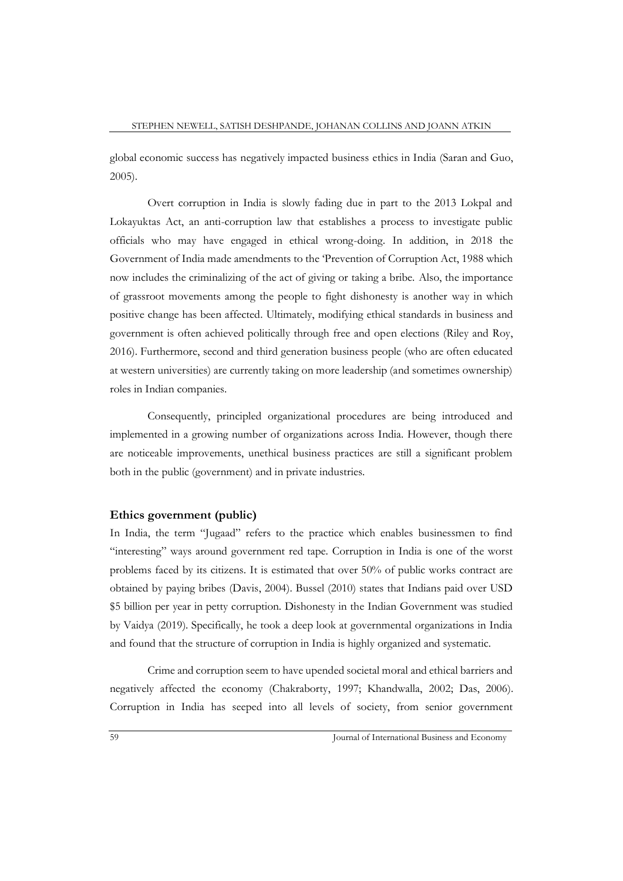global economic success has negatively impacted business ethics in India (Saran and Guo, 2005).

Overt corruption in India is slowly fading due in part to the 2013 Lokpal and Lokayuktas Act, an anti-corruption law that establishes a process to investigate public officials who may have engaged in ethical wrong-doing. In addition, in 2018 the Government of India made amendments to the 'Prevention of Corruption Act, 1988 which now includes the criminalizing of the act of giving or taking a bribe. Also, the importance of grassroot movements among the people to fight dishonesty is another way in which positive change has been affected. Ultimately, modifying ethical standards in business and government is often achieved politically through free and open elections (Riley and Roy, 2016). Furthermore, second and third generation business people (who are often educated at western universities) are currently taking on more leadership (and sometimes ownership) roles in Indian companies.

Consequently, principled organizational procedures are being introduced and implemented in a growing number of organizations across India. However, though there are noticeable improvements, unethical business practices are still a significant problem both in the public (government) and in private industries.

## **Ethics government (public)**

In India, the term "Jugaad" refers to the practice which enables businessmen to find "interesting" ways around government red tape. Corruption in India is one of the worst problems faced by its citizens. It is estimated that over 50% of public works contract are obtained by paying bribes (Davis, 2004). Bussel (2010) states that Indians paid over USD \$5 billion per year in petty corruption. Dishonesty in the Indian Government was studied by Vaidya (2019). Specifically, he took a deep look at governmental organizations in India and found that the structure of corruption in India is highly organized and systematic.

Crime and corruption seem to have upended societal moral and ethical barriers and negatively affected the economy (Chakraborty, 1997; Khandwalla, 2002; Das, 2006). Corruption in India has seeped into all levels of society, from senior government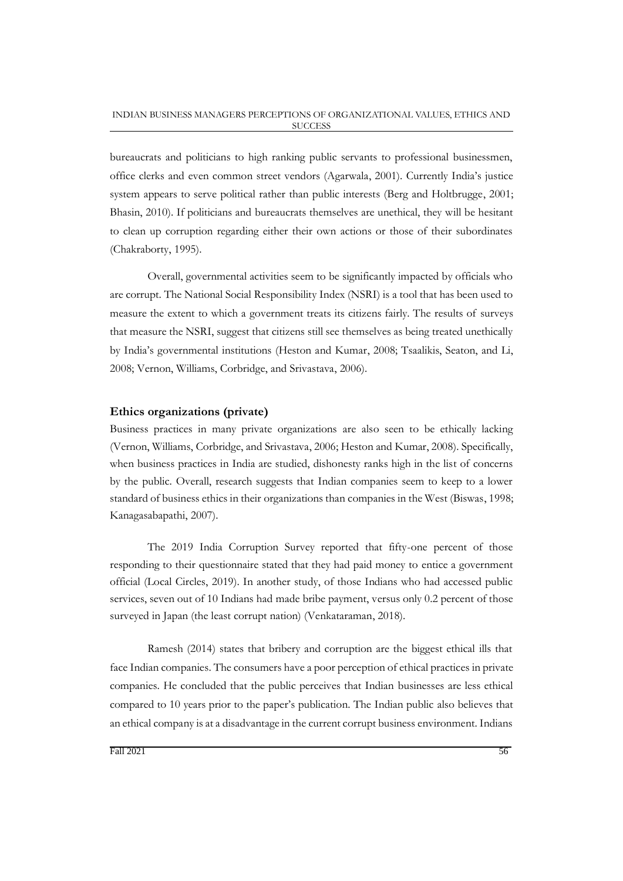bureaucrats and politicians to high ranking public servants to professional businessmen, office clerks and even common street vendors (Agarwala, 2001). Currently India's justice system appears to serve political rather than public interests (Berg and Holtbrugge, 2001; Bhasin, 2010). If politicians and bureaucrats themselves are unethical, they will be hesitant to clean up corruption regarding either their own actions or those of their subordinates (Chakraborty, 1995).

Overall, governmental activities seem to be significantly impacted by officials who are corrupt. The National Social Responsibility Index (NSRI) is a tool that has been used to measure the extent to which a government treats its citizens fairly. The results of surveys that measure the NSRI, suggest that citizens still see themselves as being treated unethically by India's governmental institutions (Heston and Kumar, 2008; Tsaalikis, Seaton, and Li, 2008; Vernon, Williams, Corbridge, and Srivastava, 2006).

## **Ethics organizations (private)**

Business practices in many private organizations are also seen to be ethically lacking (Vernon, Williams, Corbridge, and Srivastava, 2006; Heston and Kumar, 2008). Specifically, when business practices in India are studied, dishonesty ranks high in the list of concerns by the public. Overall, research suggests that Indian companies seem to keep to a lower standard of business ethics in their organizations than companies in the West (Biswas, 1998; Kanagasabapathi, 2007).

The 2019 India Corruption Survey reported that fifty-one percent of those responding to their questionnaire stated that they had paid money to entice a government official (Local Circles, 2019). In another study, of those Indians who had accessed public services, seven out of 10 Indians had made bribe payment, versus only 0.2 percent of those surveyed in Japan (the least corrupt nation) (Venkataraman, 2018).

Ramesh (2014) states that bribery and corruption are the biggest ethical ills that face Indian companies. The consumers have a poor perception of ethical practices in private companies. He concluded that the public perceives that Indian businesses are less ethical compared to 10 years prior to the paper's publication. The Indian public also believes that an ethical company is at a disadvantage in the current corrupt business environment. Indians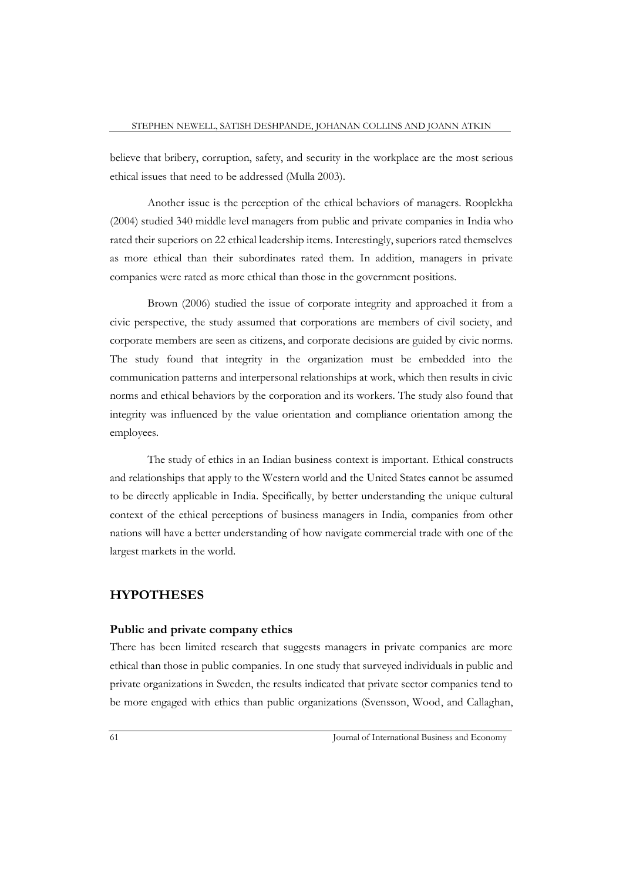believe that bribery, corruption, safety, and security in the workplace are the most serious ethical issues that need to be addressed (Mulla 2003).

Another issue is the perception of the ethical behaviors of managers. Rooplekha (2004) studied 340 middle level managers from public and private companies in India who rated their superiors on 22 ethical leadership items. Interestingly, superiors rated themselves as more ethical than their subordinates rated them. In addition, managers in private companies were rated as more ethical than those in the government positions.

Brown (2006) studied the issue of corporate integrity and approached it from a civic perspective, the study assumed that corporations are members of civil society, and corporate members are seen as citizens, and corporate decisions are guided by civic norms. The study found that integrity in the organization must be embedded into the communication patterns and interpersonal relationships at work, which then results in civic norms and ethical behaviors by the corporation and its workers. The study also found that integrity was influenced by the value orientation and compliance orientation among the employees.

The study of ethics in an Indian business context is important. Ethical constructs and relationships that apply to the Western world and the United States cannot be assumed to be directly applicable in India. Specifically, by better understanding the unique cultural context of the ethical perceptions of business managers in India, companies from other nations will have a better understanding of how navigate commercial trade with one of the largest markets in the world.

## **HYPOTHESES**

### **Public and private company ethics**

There has been limited research that suggests managers in private companies are more ethical than those in public companies. In one study that surveyed individuals in public and private organizations in Sweden, the results indicated that private sector companies tend to be more engaged with ethics than public organizations (Svensson, Wood, and Callaghan,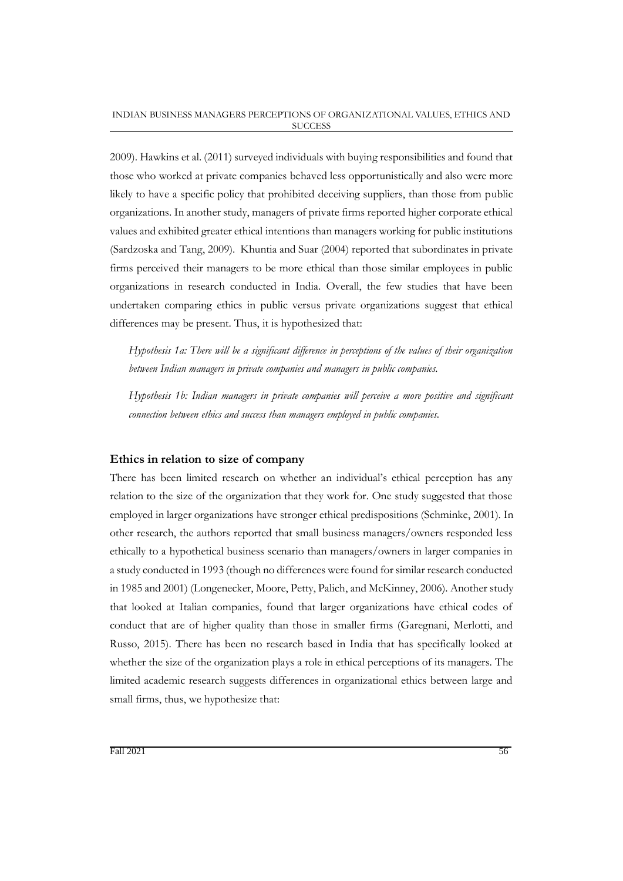2009). Hawkins et al. (2011) surveyed individuals with buying responsibilities and found that those who worked at private companies behaved less opportunistically and also were more likely to have a specific policy that prohibited deceiving suppliers, than those from public organizations. In another study, managers of private firms reported higher corporate ethical values and exhibited greater ethical intentions than managers working for public institutions (Sardzoska and Tang, 2009). Khuntia and Suar (2004) reported that subordinates in private firms perceived their managers to be more ethical than those similar employees in public organizations in research conducted in India. Overall, the few studies that have been undertaken comparing ethics in public versus private organizations suggest that ethical differences may be present. Thus, it is hypothesized that:

*Hypothesis 1a: There will be a significant difference in perceptions of the values of their organization between Indian managers in private companies and managers in public companies.* 

*Hypothesis 1b: Indian managers in private companies will perceive a more positive and significant connection between ethics and success than managers employed in public companies.*

## **Ethics in relation to size of company**

There has been limited research on whether an individual's ethical perception has any relation to the size of the organization that they work for. One study suggested that those employed in larger organizations have stronger ethical predispositions (Schminke, 2001). In other research, the authors reported that small business managers/owners responded less ethically to a hypothetical business scenario than managers/owners in larger companies in a study conducted in 1993 (though no differences were found for similar research conducted in 1985 and 2001) (Longenecker, Moore, Petty, Palich, and McKinney, 2006). Another study that looked at Italian companies, found that larger organizations have ethical codes of conduct that are of higher quality than those in smaller firms (Garegnani, Merlotti, and Russo, 2015). There has been no research based in India that has specifically looked at whether the size of the organization plays a role in ethical perceptions of its managers. The limited academic research suggests differences in organizational ethics between large and small firms, thus, we hypothesize that: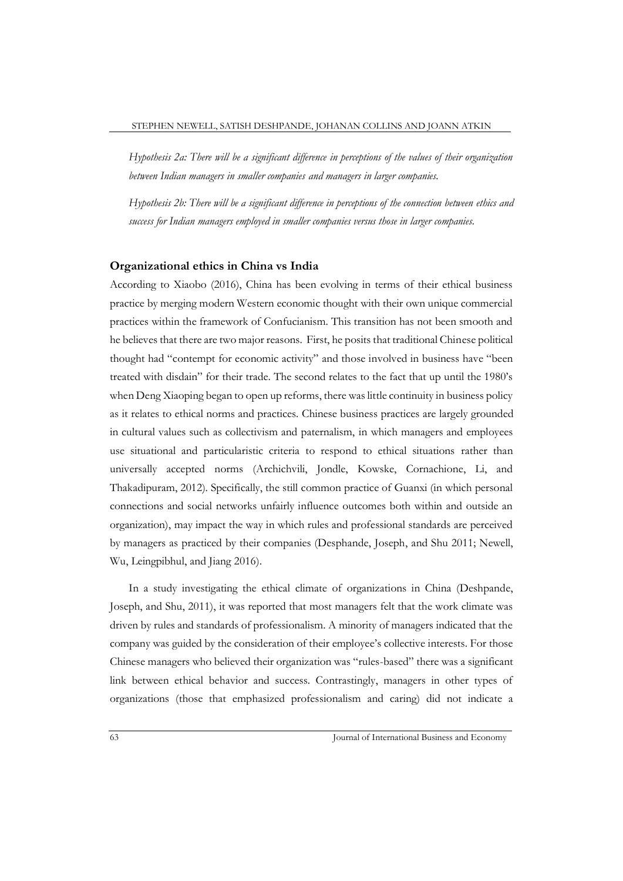*Hypothesis 2a: There will be a significant difference in perceptions of the values of their organization between Indian managers in smaller companies and managers in larger companies.*

*Hypothesis 2b: There will be a significant difference in perceptions of the connection between ethics and success for Indian managers employed in smaller companies versus those in larger companies.*

#### **Organizational ethics in China vs India**

According to Xiaobo (2016), China has been evolving in terms of their ethical business practice by merging modern Western economic thought with their own unique commercial practices within the framework of Confucianism. This transition has not been smooth and he believes that there are two major reasons. First, he posits that traditional Chinese political thought had "contempt for economic activity" and those involved in business have "been treated with disdain" for their trade. The second relates to the fact that up until the 1980's when Deng Xiaoping began to open up reforms, there was little continuity in business policy as it relates to ethical norms and practices. Chinese business practices are largely grounded in cultural values such as collectivism and paternalism, in which managers and employees use situational and particularistic criteria to respond to ethical situations rather than universally accepted norms (Archichvili, Jondle, Kowske, Cornachione, Li, and Thakadipuram, 2012). Specifically, the still common practice of Guanxi (in which personal connections and social networks unfairly influence outcomes both within and outside an organization), may impact the way in which rules and professional standards are perceived by managers as practiced by their companies (Desphande, Joseph, and Shu 2011; Newell, Wu, Leingpibhul, and Jiang 2016).

In a study investigating the ethical climate of organizations in China (Deshpande, Joseph, and Shu, 2011), it was reported that most managers felt that the work climate was driven by rules and standards of professionalism. A minority of managers indicated that the company was guided by the consideration of their employee's collective interests. For those Chinese managers who believed their organization was "rules-based" there was a significant link between ethical behavior and success. Contrastingly, managers in other types of organizations (those that emphasized professionalism and caring) did not indicate a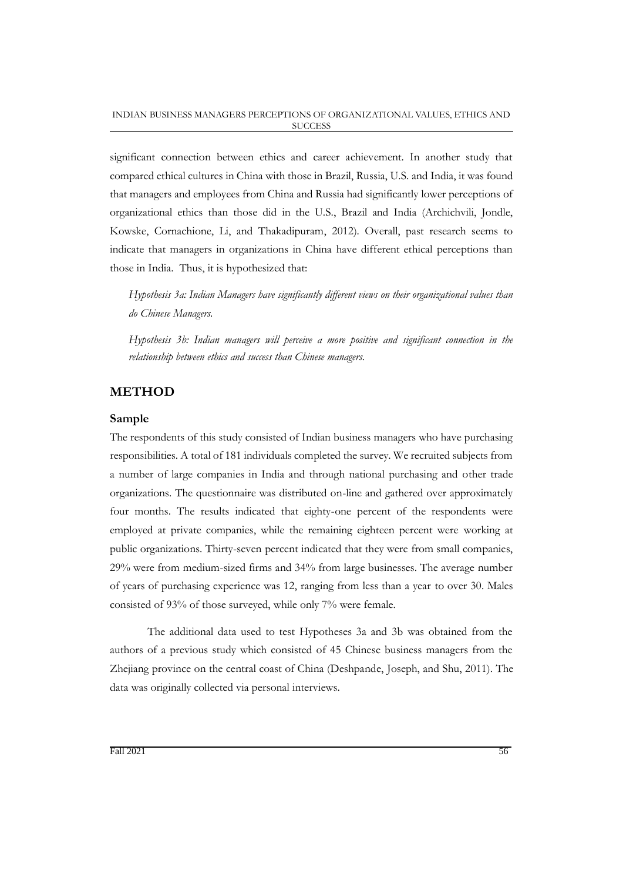significant connection between ethics and career achievement. In another study that compared ethical cultures in China with those in Brazil, Russia, U.S. and India, it was found that managers and employees from China and Russia had significantly lower perceptions of organizational ethics than those did in the U.S., Brazil and India (Archichvili, Jondle, Kowske, Cornachione, Li, and Thakadipuram, 2012). Overall, past research seems to indicate that managers in organizations in China have different ethical perceptions than those in India. Thus, it is hypothesized that:

*Hypothesis 3a: Indian Managers have significantly different views on their organizational values than do Chinese Managers.*

*Hypothesis 3b: Indian managers will perceive a more positive and significant connection in the relationship between ethics and success than Chinese managers.*

## **METHOD**

## **Sample**

The respondents of this study consisted of Indian business managers who have purchasing responsibilities. A total of 181 individuals completed the survey. We recruited subjects from a number of large companies in India and through national purchasing and other trade organizations. The questionnaire was distributed on-line and gathered over approximately four months. The results indicated that eighty-one percent of the respondents were employed at private companies, while the remaining eighteen percent were working at public organizations. Thirty-seven percent indicated that they were from small companies, 29% were from medium-sized firms and 34% from large businesses. The average number of years of purchasing experience was 12, ranging from less than a year to over 30. Males consisted of 93% of those surveyed, while only 7% were female.

The additional data used to test Hypotheses 3a and 3b was obtained from the authors of a previous study which consisted of 45 Chinese business managers from the Zhejiang province on the central coast of China (Deshpande, Joseph, and Shu, 2011). The data was originally collected via personal interviews.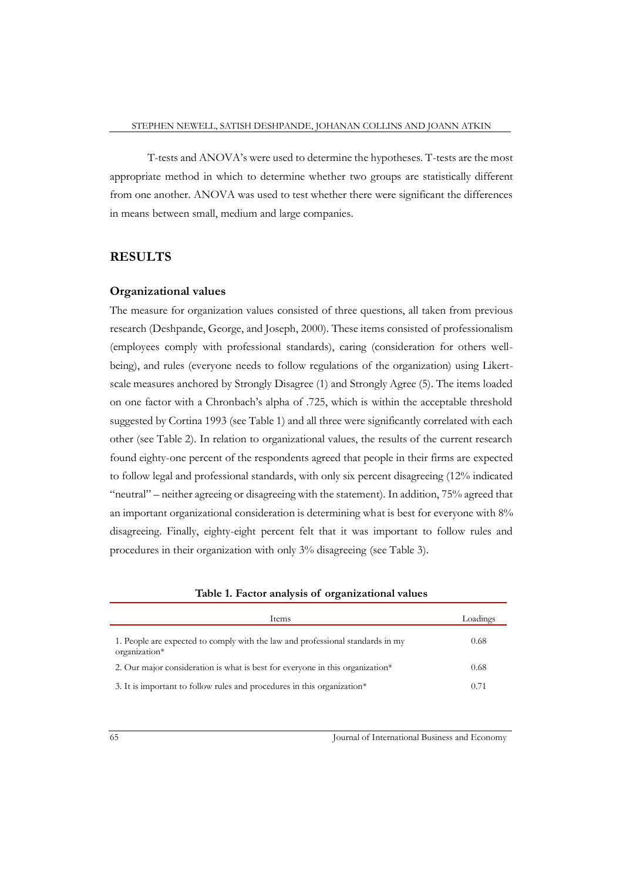T-tests and ANOVA's were used to determine the hypotheses. T-tests are the most appropriate method in which to determine whether two groups are statistically different from one another. ANOVA was used to test whether there were significant the differences in means between small, medium and large companies.

## **RESULTS**

## **Organizational values**

The measure for organization values consisted of three questions, all taken from previous research (Deshpande, George, and Joseph, 2000). These items consisted of professionalism (employees comply with professional standards), caring (consideration for others wellbeing), and rules (everyone needs to follow regulations of the organization) using Likertscale measures anchored by Strongly Disagree (1) and Strongly Agree (5). The items loaded on one factor with a Chronbach's alpha of .725, which is within the acceptable threshold suggested by Cortina 1993 (see Table 1) and all three were significantly correlated with each other (see Table 2). In relation to organizational values, the results of the current research found eighty-one percent of the respondents agreed that people in their firms are expected to follow legal and professional standards, with only six percent disagreeing (12% indicated "neutral" – neither agreeing or disagreeing with the statement). In addition, 75% agreed that an important organizational consideration is determining what is best for everyone with 8% disagreeing. Finally, eighty-eight percent felt that it was important to follow rules and procedures in their organization with only 3% disagreeing (see Table 3).

|  |       | -- |               |
|--|-------|----|---------------|
|  |       |    |               |
|  | Items |    | Loadings      |
|  |       |    |               |
|  |       | .  | $\sim$ $\sim$ |

|  |  | Table 1. Factor analysis of organizational values |  |
|--|--|---------------------------------------------------|--|
|  |  |                                                   |  |

| 1. People are expected to comply with the law and professional standards in my<br>organization* | 0.68 |
|-------------------------------------------------------------------------------------------------|------|
| 2. Our major consideration is what is best for everyone in this organization*                   | 0.68 |
| 3. It is important to follow rules and procedures in this organization*                         | 0.71 |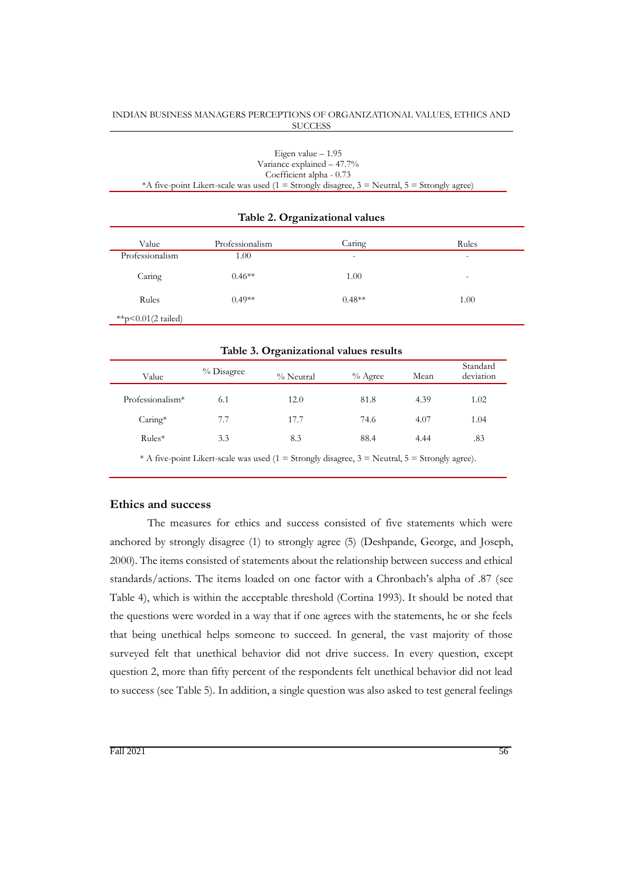| Eigen value $-1.95$                                                                              |
|--------------------------------------------------------------------------------------------------|
| Variance explained $-47.7\%$                                                                     |
| Coefficient alpha - 0.73                                                                         |
| *A five-point Likert-scale was used (1 = Strongly disagree, $3$ = Neutral, $5$ = Strongly agree) |

#### **Table 2. Organizational values**

| Value                         | Professionalism | Caring                   | Rules                    |
|-------------------------------|-----------------|--------------------------|--------------------------|
| Professionalism               | 1.00            | $\overline{\phantom{0}}$ | $\overline{\phantom{0}}$ |
| Caring                        | $0.46**$        | 1.00                     | $\overline{\phantom{0}}$ |
| Rules                         | $0.49**$        | $0.48**$                 | 1.00                     |
| **p< $0.01(2 \text{ tailed})$ |                 |                          |                          |

| Table 3. Organizational values results |
|----------------------------------------|
|                                        |

| Value                        | % Disagree | % Neutral | $%$ Agree | Mean | Standard<br>deviation |
|------------------------------|------------|-----------|-----------|------|-----------------------|
| Professionalism <sup>*</sup> | 6.1        | 12.0      | 81.8      | 4.39 | 1.02                  |
| $Caring*$                    | 7.7        | 17.7      | 74.6      | 4.07 | 1.04                  |
| $Rules*$                     | 3.3        | 8.3       | 88.4      | 4.44 | .83                   |
|                              |            |           |           |      |                       |

\* A five-point Likert-scale was used (1 = Strongly disagree, 3 = Neutral, 5 = Strongly agree).

#### **Ethics and success**

The measures for ethics and success consisted of five statements which were anchored by strongly disagree (1) to strongly agree (5) (Deshpande, George, and Joseph, 2000). The items consisted of statements about the relationship between success and ethical standards/actions. The items loaded on one factor with a Chronbach's alpha of .87 (see Table 4), which is within the acceptable threshold (Cortina 1993). It should be noted that the questions were worded in a way that if one agrees with the statements, he or she feels that being unethical helps someone to succeed. In general, the vast majority of those surveyed felt that unethical behavior did not drive success. In every question, except question 2, more than fifty percent of the respondents felt unethical behavior did not lead to success (see Table 5). In addition, a single question was also asked to test general feelings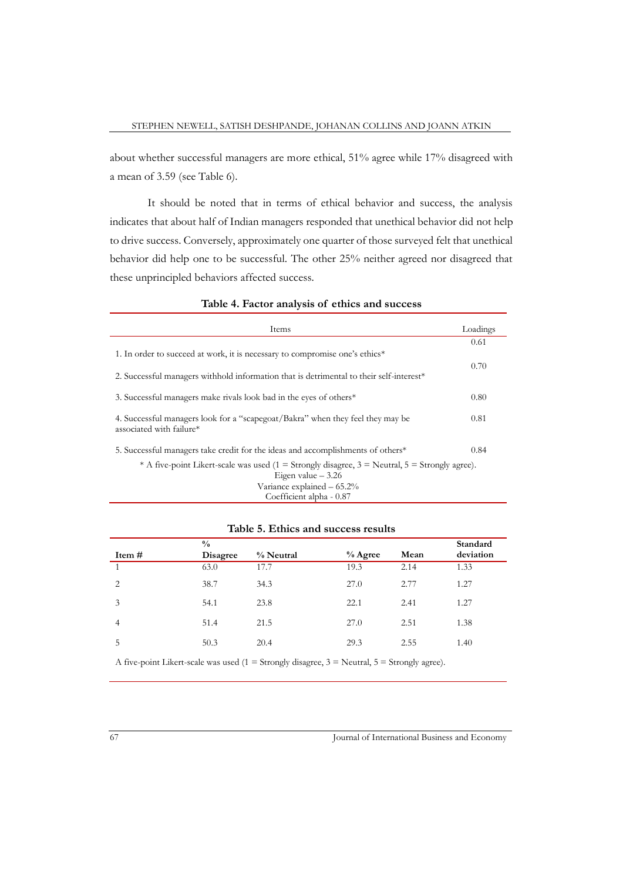about whether successful managers are more ethical, 51% agree while 17% disagreed with a mean of 3.59 (see Table 6).

It should be noted that in terms of ethical behavior and success, the analysis indicates that about half of Indian managers responded that unethical behavior did not help to drive success. Conversely, approximately one quarter of those surveyed felt that unethical behavior did help one to be successful. The other 25% neither agreed nor disagreed that these unprincipled behaviors affected success.

| Items                                                                                                      | Loadings |
|------------------------------------------------------------------------------------------------------------|----------|
|                                                                                                            | 0.61     |
| 1. In order to succeed at work, it is necessary to compromise one's ethics*                                |          |
|                                                                                                            | 0.70     |
| 2. Successful managers withhold information that is detrimental to their self-interest <sup>*</sup>        |          |
| 3. Successful managers make rivals look bad in the eyes of others*                                         | 0.80     |
| 4. Successful managers look for a "scapegoat/Bakra" when they feel they may be<br>associated with failure* | 0.81     |
| 5. Successful managers take credit for the ideas and accomplishments of others*                            | 0.84     |
| * A five-point Likert-scale was used $(1 =$ Strongly disagree, $3 =$ Neutral, $5 =$ Strongly agree).       |          |
| Eigen value $-3.26$                                                                                        |          |
| Variance explained $-65.2\%$                                                                               |          |
| Coefficient alpha - 0.87                                                                                   |          |

#### **Table 4. Factor analysis of ethics and success**

|                | $\frac{0}{0}$ |           |           |      | Standard  |
|----------------|---------------|-----------|-----------|------|-----------|
| Item #         | Disagree      | % Neutral | $%$ Agree | Mean | deviation |
|                | 63.0          | 17.7      | 19.3      | 2.14 | 1.33      |
| 2              | 38.7          | 34.3      | 27.0      | 2.77 | 1.27      |
| 3              | 54.1          | 23.8      | 22.1      | 2.41 | 1.27      |
| $\overline{4}$ | 51.4          | 21.5      | 27.0      | 2.51 | 1.38      |
| 5              | 50.3          | 20.4      | 29.3      | 2.55 | 1.40      |
|                |               |           |           |      |           |

## **Table 5. Ethics and success results**

A five-point Likert-scale was used  $(1 =$  Strongly disagree,  $3 =$  Neutral,  $5 =$  Strongly agree).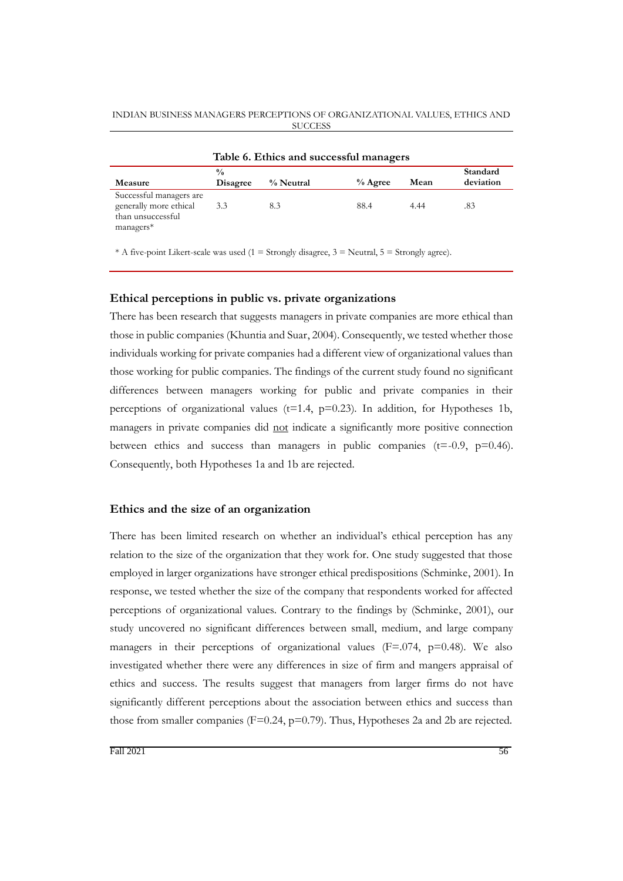| Table 6. Ethics and successful managers                                             |                                  |           |           |      |                       |  |
|-------------------------------------------------------------------------------------|----------------------------------|-----------|-----------|------|-----------------------|--|
| Measure                                                                             | $\frac{0}{0}$<br><b>Disagree</b> | % Neutral | $%$ Agree | Mean | Standard<br>deviation |  |
| Successful managers are<br>generally more ethical<br>than unsuccessful<br>managers* | 3.3                              | 8.3       | 88.4      | 4.44 | .83                   |  |

\* A five-point Likert-scale was used (1 = Strongly disagree,  $3$  = Neutral,  $5$  = Strongly agree).

#### **Ethical perceptions in public vs. private organizations**

There has been research that suggests managers in private companies are more ethical than those in public companies (Khuntia and Suar, 2004). Consequently, we tested whether those individuals working for private companies had a different view of organizational values than those working for public companies. The findings of the current study found no significant differences between managers working for public and private companies in their perceptions of organizational values ( $t=1.4$ ,  $p=0.23$ ). In addition, for Hypotheses 1b, managers in private companies did not indicate a significantly more positive connection between ethics and success than managers in public companies ( $t = -0.9$ ,  $p = 0.46$ ). Consequently, both Hypotheses 1a and 1b are rejected.

### **Ethics and the size of an organization**

There has been limited research on whether an individual's ethical perception has any relation to the size of the organization that they work for. One study suggested that those employed in larger organizations have stronger ethical predispositions (Schminke, 2001). In response, we tested whether the size of the company that respondents worked for affected perceptions of organizational values. Contrary to the findings by (Schminke, 2001), our study uncovered no significant differences between small, medium, and large company managers in their perceptions of organizational values ( $F=0.074$ ,  $p=0.48$ ). We also investigated whether there were any differences in size of firm and mangers appraisal of ethics and success. The results suggest that managers from larger firms do not have significantly different perceptions about the association between ethics and success than those from smaller companies ( $F=0.24$ ,  $p=0.79$ ). Thus, Hypotheses 2a and 2b are rejected.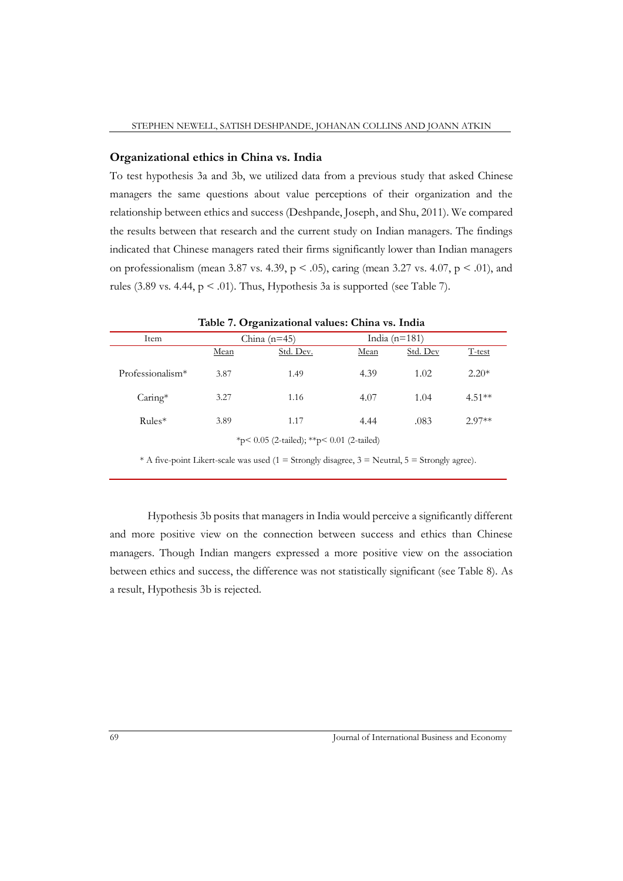### **Organizational ethics in China vs. India**

To test hypothesis 3a and 3b, we utilized data from a previous study that asked Chinese managers the same questions about value perceptions of their organization and the relationship between ethics and success (Deshpande, Joseph, and Shu, 2011). We compared the results between that research and the current study on Indian managers. The findings indicated that Chinese managers rated their firms significantly lower than Indian managers on professionalism (mean 3.87 vs. 4.39,  $p < .05$ ), caring (mean 3.27 vs. 4.07,  $p < .01$ ), and rules (3.89 vs. 4.44,  $p < .01$ ). Thus, Hypothesis 3a is supported (see Table 7).

| where it expansional values, chain to more                                                         |      |                |      |                 |          |  |
|----------------------------------------------------------------------------------------------------|------|----------------|------|-----------------|----------|--|
| Item                                                                                               |      | China $(n=45)$ |      | India $(n=181)$ |          |  |
|                                                                                                    | Mean | Std. Dev.      | Mean | Std. Dev        | T-test   |  |
| Professionalism*                                                                                   | 3.87 | 1.49           | 4.39 | 1.02            | $2.20*$  |  |
| $Caring*$                                                                                          | 3.27 | 1.16           | 4.07 | 1.04            | $4.51**$ |  |
| $Rules*$                                                                                           | 3.89 | 1.17           | 4.44 | .083            | $2.97**$ |  |
| *p< 0.05 (2-tailed); **p< 0.01 (2-tailed)                                                          |      |                |      |                 |          |  |
| * A five-point Likert-scale was used (1 = Strongly disagree, $3$ = Neutral, $5$ = Strongly agree). |      |                |      |                 |          |  |

**Table 7. Organizational values: China vs. India**

Hypothesis 3b posits that managers in India would perceive a significantly different and more positive view on the connection between success and ethics than Chinese managers. Though Indian mangers expressed a more positive view on the association between ethics and success, the difference was not statistically significant (see Table 8). As a result, Hypothesis 3b is rejected.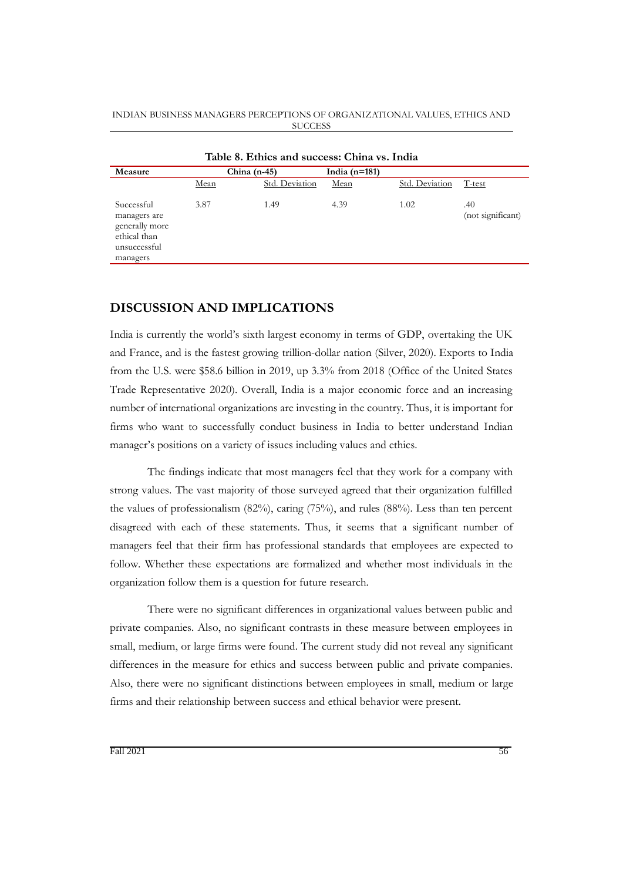| Table 8. Ethics and success: China vs. India                                             |                |                |                 |                |                          |  |  |
|------------------------------------------------------------------------------------------|----------------|----------------|-----------------|----------------|--------------------------|--|--|
| Measure                                                                                  | China $(n-45)$ |                | India $(n=181)$ |                |                          |  |  |
|                                                                                          | Mean           | Std. Deviation | Mean            | Std. Deviation | T-test                   |  |  |
| Successful<br>managers are<br>generally more<br>ethical than<br>unsuccessful<br>managers | 3.87           | 1.49           | 4.39            | 1.02           | .40<br>(not significant) |  |  |

## **DISCUSSION AND IMPLICATIONS**

India is currently the world's sixth largest economy in terms of GDP, overtaking the UK and France, and is the fastest growing trillion-dollar nation (Silver, 2020). Exports to India from the U.S. were \$58.6 billion in 2019, up 3.3% from 2018 (Office of the United States Trade Representative 2020). Overall, India is a major economic force and an increasing number of international organizations are investing in the country. Thus, it is important for firms who want to successfully conduct business in India to better understand Indian manager's positions on a variety of issues including values and ethics.

The findings indicate that most managers feel that they work for a company with strong values. The vast majority of those surveyed agreed that their organization fulfilled the values of professionalism (82%), caring (75%), and rules (88%). Less than ten percent disagreed with each of these statements. Thus, it seems that a significant number of managers feel that their firm has professional standards that employees are expected to follow. Whether these expectations are formalized and whether most individuals in the organization follow them is a question for future research.

There were no significant differences in organizational values between public and private companies. Also, no significant contrasts in these measure between employees in small, medium, or large firms were found. The current study did not reveal any significant differences in the measure for ethics and success between public and private companies. Also, there were no significant distinctions between employees in small, medium or large firms and their relationship between success and ethical behavior were present.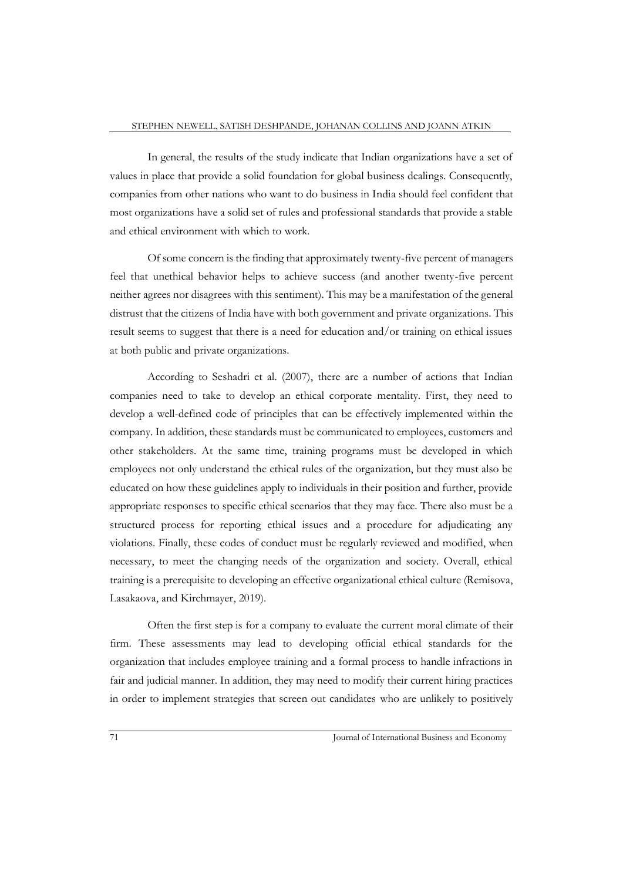In general, the results of the study indicate that Indian organizations have a set of values in place that provide a solid foundation for global business dealings. Consequently, companies from other nations who want to do business in India should feel confident that most organizations have a solid set of rules and professional standards that provide a stable and ethical environment with which to work.

Of some concern is the finding that approximately twenty-five percent of managers feel that unethical behavior helps to achieve success (and another twenty-five percent neither agrees nor disagrees with this sentiment). This may be a manifestation of the general distrust that the citizens of India have with both government and private organizations. This result seems to suggest that there is a need for education and/or training on ethical issues at both public and private organizations.

According to Seshadri et al. (2007), there are a number of actions that Indian companies need to take to develop an ethical corporate mentality. First, they need to develop a well-defined code of principles that can be effectively implemented within the company. In addition, these standards must be communicated to employees, customers and other stakeholders. At the same time, training programs must be developed in which employees not only understand the ethical rules of the organization, but they must also be educated on how these guidelines apply to individuals in their position and further, provide appropriate responses to specific ethical scenarios that they may face. There also must be a structured process for reporting ethical issues and a procedure for adjudicating any violations. Finally, these codes of conduct must be regularly reviewed and modified, when necessary, to meet the changing needs of the organization and society. Overall, ethical training is a prerequisite to developing an effective organizational ethical culture (Remisova, Lasakaova, and Kirchmayer, 2019).

Often the first step is for a company to evaluate the current moral climate of their firm. These assessments may lead to developing official ethical standards for the organization that includes employee training and a formal process to handle infractions in fair and judicial manner. In addition, they may need to modify their current hiring practices in order to implement strategies that screen out candidates who are unlikely to positively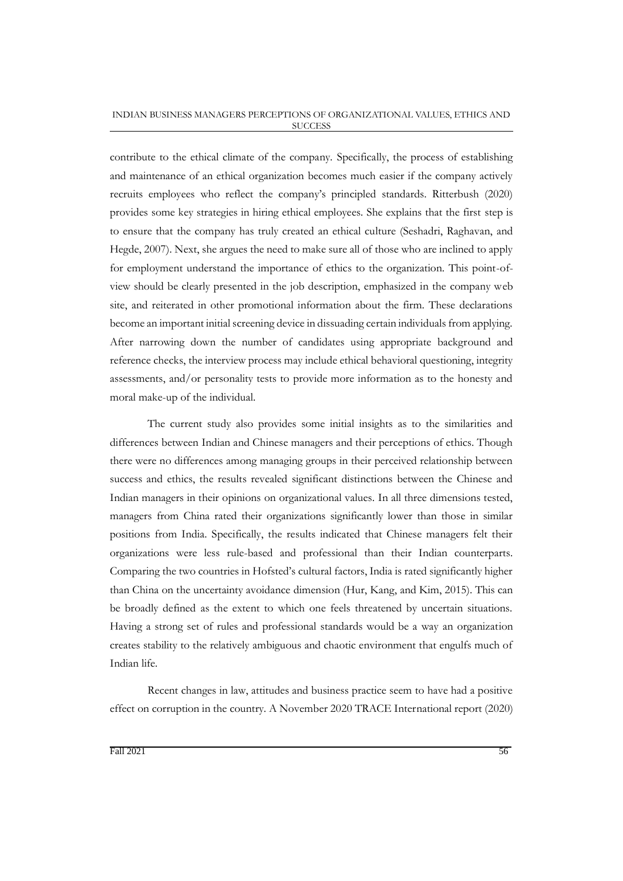contribute to the ethical climate of the company. Specifically, the process of establishing and maintenance of an ethical organization becomes much easier if the company actively recruits employees who reflect the company's principled standards. Ritterbush (2020) provides some key strategies in hiring ethical employees. She explains that the first step is to ensure that the company has truly created an ethical culture (Seshadri, Raghavan, and Hegde, 2007). Next, she argues the need to make sure all of those who are inclined to apply for employment understand the importance of ethics to the organization. This point-ofview should be clearly presented in the job description, emphasized in the company web site, and reiterated in other promotional information about the firm. These declarations become an important initial screening device in dissuading certain individuals from applying. After narrowing down the number of candidates using appropriate background and reference checks, the interview process may include ethical behavioral questioning, integrity assessments, and/or personality tests to provide more information as to the honesty and moral make-up of the individual.

The current study also provides some initial insights as to the similarities and differences between Indian and Chinese managers and their perceptions of ethics. Though there were no differences among managing groups in their perceived relationship between success and ethics, the results revealed significant distinctions between the Chinese and Indian managers in their opinions on organizational values. In all three dimensions tested, managers from China rated their organizations significantly lower than those in similar positions from India. Specifically, the results indicated that Chinese managers felt their organizations were less rule-based and professional than their Indian counterparts. Comparing the two countries in Hofsted's cultural factors, India is rated significantly higher than China on the uncertainty avoidance dimension (Hur, Kang, and Kim, 2015). This can be broadly defined as the extent to which one feels threatened by uncertain situations. Having a strong set of rules and professional standards would be a way an organization creates stability to the relatively ambiguous and chaotic environment that engulfs much of Indian life.

Recent changes in law, attitudes and business practice seem to have had a positive effect on corruption in the country. A November 2020 TRACE International report (2020)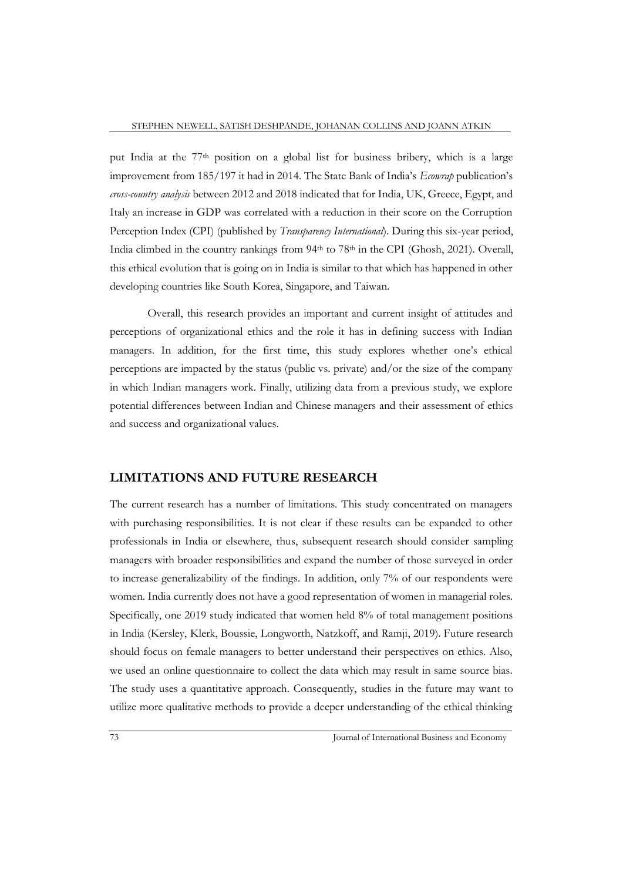put India at the 77th position on a global list for business bribery, which is a large improvement from 185/197 it had in 2014. The State Bank of India's *Ecowrap* publication's *cross-country analysis* between 2012 and 2018 indicated that for India, UK, Greece, Egypt, and Italy an increase in GDP was correlated with a reduction in their score on the Corruption Perception Index (CPI) (published by *Transparency International*). During this six-year period, India climbed in the country rankings from 94<sup>th</sup> to 78<sup>th</sup> in the CPI (Ghosh, 2021). Overall, this ethical evolution that is going on in India is similar to that which has happened in other developing countries like South Korea, Singapore, and Taiwan.

Overall, this research provides an important and current insight of attitudes and perceptions of organizational ethics and the role it has in defining success with Indian managers. In addition, for the first time, this study explores whether one's ethical perceptions are impacted by the status (public vs. private) and/or the size of the company in which Indian managers work. Finally, utilizing data from a previous study, we explore potential differences between Indian and Chinese managers and their assessment of ethics and success and organizational values.

## **LIMITATIONS AND FUTURE RESEARCH**

The current research has a number of limitations. This study concentrated on managers with purchasing responsibilities. It is not clear if these results can be expanded to other professionals in India or elsewhere, thus, subsequent research should consider sampling managers with broader responsibilities and expand the number of those surveyed in order to increase generalizability of the findings. In addition, only 7% of our respondents were women. India currently does not have a good representation of women in managerial roles. Specifically, one 2019 study indicated that women held 8% of total management positions in India (Kersley, Klerk, Boussie, Longworth, Natzkoff, and Ramji, 2019). Future research should focus on female managers to better understand their perspectives on ethics. Also, we used an online questionnaire to collect the data which may result in same source bias. The study uses a quantitative approach. Consequently, studies in the future may want to utilize more qualitative methods to provide a deeper understanding of the ethical thinking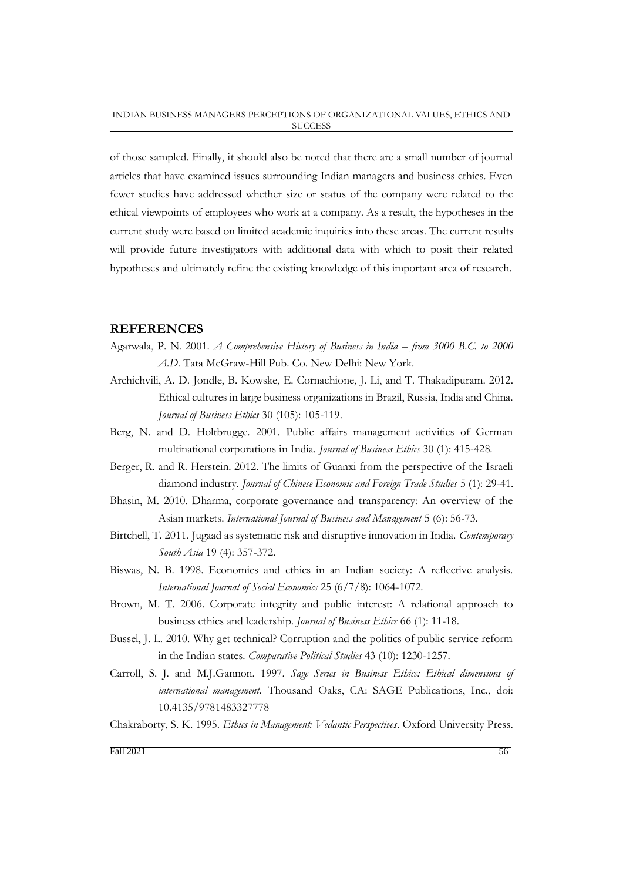of those sampled. Finally, it should also be noted that there are a small number of journal articles that have examined issues surrounding Indian managers and business ethics. Even fewer studies have addressed whether size or status of the company were related to the ethical viewpoints of employees who work at a company. As a result, the hypotheses in the current study were based on limited academic inquiries into these areas. The current results will provide future investigators with additional data with which to posit their related hypotheses and ultimately refine the existing knowledge of this important area of research.

## **REFERENCES**

- Agarwala, P. N. 2001. *A Comprehensive History of Business in India – from 3000 B.C. to 2000 A.D*. Tata McGraw-Hill Pub. Co. New Delhi: New York.
- Archichvili, A. D. Jondle, B. Kowske, E. Cornachione, J. Li, and T. Thakadipuram. 2012. Ethical cultures in large business organizations in Brazil, Russia, India and China. *Journal of Business Ethics* 30 (105): 105-119.
- Berg, N. and D. Holtbrugge. 2001. Public affairs management activities of German multinational corporations in India*. Journal of Business Ethics* 30 (1): 415-428.
- Berger, R. and R. Herstein. 2012. The limits of Guanxi from the perspective of the Israeli diamond industry. *Journal of Chinese Economic and Foreign Trade Studies* 5 (1): 29-41.
- Bhasin, M. 2010. Dharma, corporate governance and transparency: An overview of the Asian markets. *International Journal of Business and Management* 5 (6): 56-73.
- Birtchell, T. 2011. Jugaad as systematic risk and disruptive innovation in India. *Contemporary South Asia* 19 (4): 357-372.
- Biswas, N. B. 1998. Economics and ethics in an Indian society: A reflective analysis. *International Journal of Social Economics* 25 (6/7/8): 1064-1072.
- Brown, M. T. 2006. Corporate integrity and public interest: A relational approach to business ethics and leadership. *Journal of Business Ethics* 66 (1): 11-18.
- Bussel, J. L. 2010. Why get technical? Corruption and the politics of public service reform in the Indian states. *Comparative Political Studies* 43 (10): 1230-1257.
- Carroll, S. J. and M.J.Gannon. 1997. *Sage Series in Business Ethics: Ethical dimensions of international management.* Thousand Oaks, CA: SAGE Publications, Inc., doi: 10.4135/9781483327778
- Chakraborty, S. K. 1995. *Ethics in Management: Vedantic Perspectives*. Oxford University Press.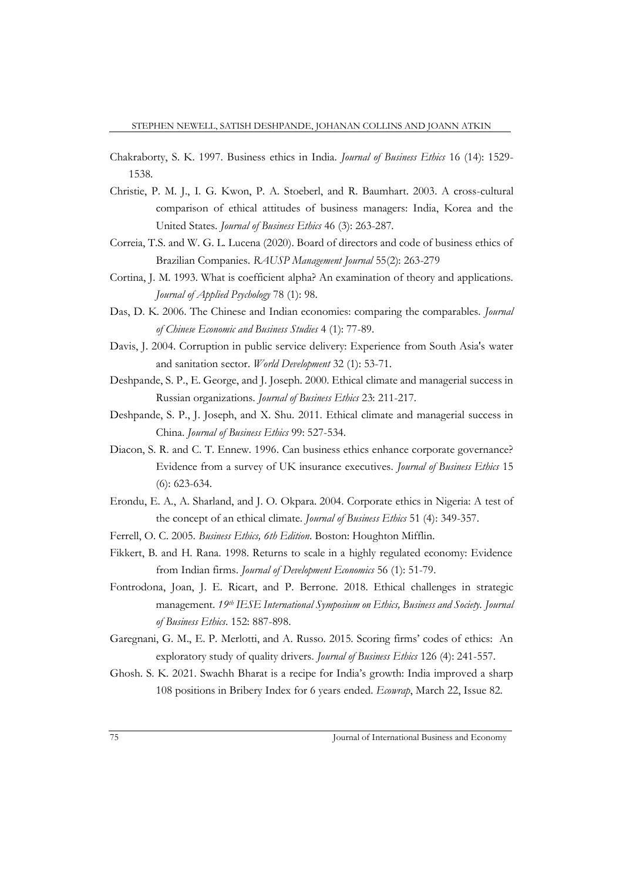- Chakraborty, S. K. 1997. Business ethics in India. *Journal of Business Ethics* 16 (14): 1529- 1538.
- Christie, P. M. J., I. G. Kwon, P. A. Stoeberl, and R. Baumhart. 2003. A cross-cultural comparison of ethical attitudes of business managers: India, Korea and the United States. *Journal of Business Ethics* 46 (3): 263-287.
- Correia, T.S. and W. G. L. Lucena (2020). Board of directors and code of business ethics of Brazilian Companies. *RAUSP Management Journal* 55(2): 263-279
- Cortina, J. M. 1993. What is coefficient alpha? An examination of theory and applications. *Journal of Applied Psychology* 78 (1): 98.
- Das, D. K. 2006. The Chinese and Indian economies: comparing the comparables. *Journal of Chinese Economic and Business Studies* 4 (1): 77-89.
- Davis, J. 2004. Corruption in public service delivery: Experience from South Asia's water and sanitation sector. *World Development* 32 (1): 53-71.
- Deshpande, S. P., E. George, and J. Joseph. 2000. Ethical climate and managerial success in Russian organizations. *Journal of Business Ethics* 23: 211-217.
- Deshpande, S. P., J. Joseph, and X. Shu. 2011. Ethical climate and managerial success in China. *Journal of Business Ethics* 99: 527-534.
- Diacon, S. R. and C. T. Ennew. 1996. Can business ethics enhance corporate governance? Evidence from a survey of UK insurance executives. *Journal of Business Ethics* 15 (6): 623-634.
- Erondu, E. A., A. Sharland, and J. O. Okpara. 2004. Corporate ethics in Nigeria: A test of the concept of an ethical climate. *Journal of Business Ethics* 51 (4): 349-357.
- Ferrell, O. C. 2005. *Business Ethics, 6th Edition*. Boston: Houghton Mifflin.
- Fikkert, B. and H. Rana. 1998. Returns to scale in a highly regulated economy: Evidence from Indian firms. *Journal of Development Economics* 56 (1): 51-79.
- Fontrodona, Joan, J. E. Ricart, and P. Berrone. 2018. Ethical challenges in strategic management. *19th IESE International Symposium on Ethics, Business and Society. Journal of Business Ethics*. 152: 887-898.
- Garegnani, G. M., E. P. Merlotti, and A. Russo. 2015. Scoring firms' codes of ethics: An exploratory study of quality drivers. *Journal of Business Ethics* 126 (4): 241-557.
- Ghosh. S. K. 2021. Swachh Bharat is a recipe for India's growth: India improved a sharp 108 positions in Bribery Index for 6 years ended. *Ecowrap*, March 22, Issue 82.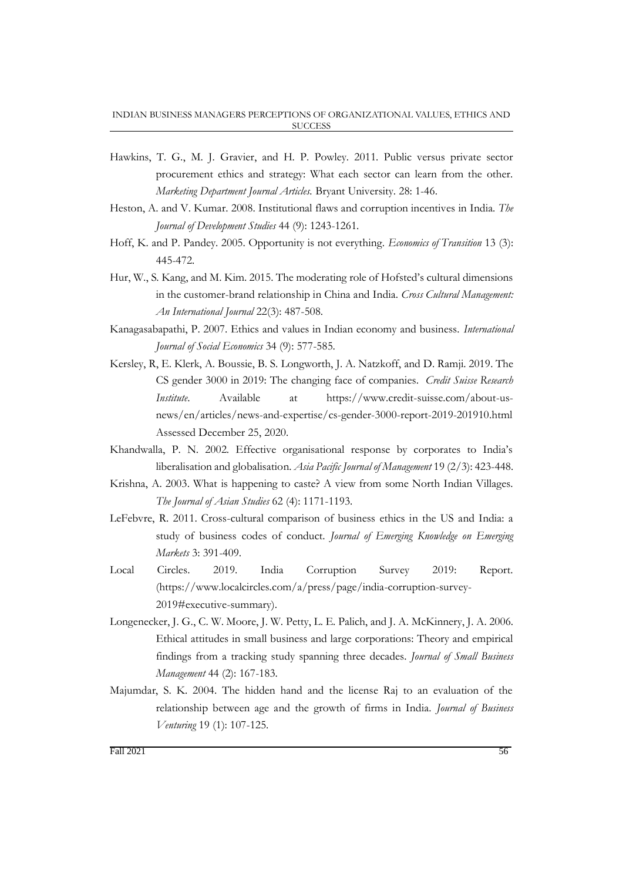- Hawkins, T. G., M. J. Gravier, and H. P. Powley. 2011. Public versus private sector procurement ethics and strategy: What each sector can learn from the other. *Marketing Department Journal Articles.* Bryant University. 28: 1-46.
- Heston, A. and V. Kumar. 2008. Institutional flaws and corruption incentives in India. *The Journal of Development Studies* 44 (9): 1243-1261.
- Hoff, K. and P. Pandey. 2005. Opportunity is not everything. *Economics of Transition* 13 (3): 445-472.
- Hur, W., S. Kang, and M. Kim. 2015. The moderating role of Hofsted's cultural dimensions in the customer-brand relationship in China and India. *Cross Cultural Management: An International Journal* 22(3): 487-508.
- Kanagasabapathi, P. 2007. Ethics and values in Indian economy and business. *International Journal of Social Economics* 34 (9): 577-585.
- Kersley, R, E. Klerk, A. Boussie, B. S. Longworth, J. A. Natzkoff, and D. Ramji. 2019. The CS gender 3000 in 2019: The changing face of companies. *Credit Suisse Research Institute*. Available at https://www.credit-suisse.com/about-usnews/en/articles/news-and-expertise/cs-gender-3000-report-2019-201910.html Assessed December 25, 2020.
- Khandwalla, P. N. 2002. Effective organisational response by corporates to India's liberalisation and globalisation. *Asia Pacific Journal of Management* 19 (2/3): 423-448.
- Krishna, A. 2003. What is happening to caste? A view from some North Indian Villages. *The Journal of Asian Studies* 62 (4): 1171-1193.
- LeFebvre, R. 2011. Cross-cultural comparison of business ethics in the US and India: a study of business codes of conduct. *Journal of Emerging Knowledge on Emerging Markets* 3: 391-409.
- Local Circles. 2019. India Corruption Survey 2019: Report. (https://www.localcircles.com/a/press/page/india-corruption-survey-2019#executive-summary).
- Longenecker, J. G., C. W. Moore, J. W. Petty, L. E. Palich, and J. A. McKinnery, J. A. 2006. Ethical attitudes in small business and large corporations: Theory and empirical findings from a tracking study spanning three decades. *Journal of Small Business Management* 44 (2): 167-183.
- Majumdar, S. K. 2004. The hidden hand and the license Raj to an evaluation of the relationship between age and the growth of firms in India. *Journal of Business Venturing* 19 (1): 107-125.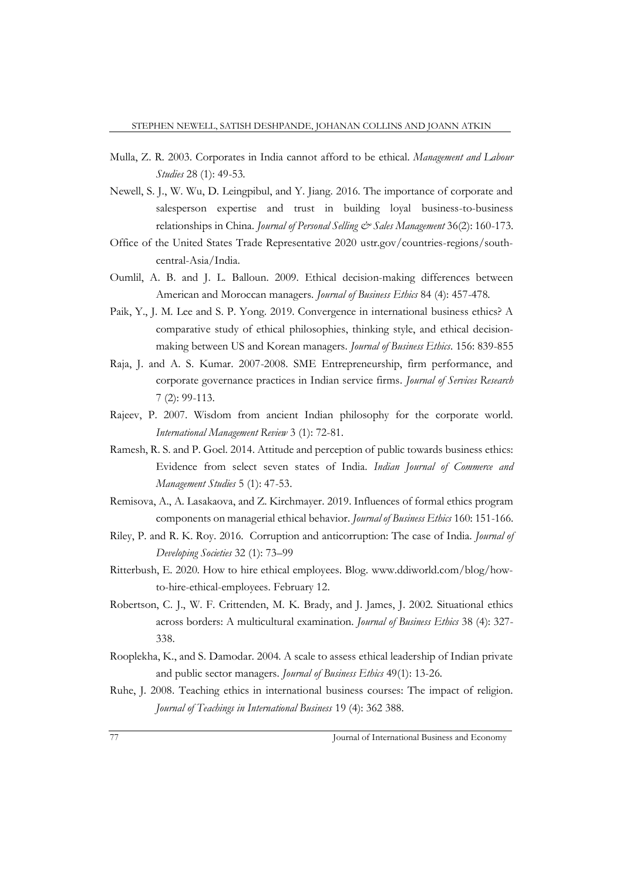- Mulla, Z. R. 2003. Corporates in India cannot afford to be ethical. *Management and Labour Studies* 28 (1): 49-53.
- Newell, S. J., W. Wu, D. Leingpibul, and Y. Jiang. 2016. The importance of corporate and salesperson expertise and trust in building loyal business-to-business relationships in China. *Journal of Personal Selling & Sales Management* 36(2): 160-173.
- Office of the United States Trade Representative 2020 ustr.gov/countries-regions/southcentral-Asia/India.
- Oumlil, A. B. and J. L. Balloun. 2009. Ethical decision-making differences between American and Moroccan managers. *Journal of Business Ethics* 84 (4): 457-478.
- Paik, Y., J. M. Lee and S. P. Yong. 2019. Convergence in international business ethics? A comparative study of ethical philosophies, thinking style, and ethical decisionmaking between US and Korean managers. *Journal of Business Ethics*. 156: 839-855
- Raja, J. and A. S. Kumar. 2007-2008. SME Entrepreneurship, firm performance, and corporate governance practices in Indian service firms*. Journal of Services Research* 7 (2): 99-113.
- Rajeev, P. 2007. Wisdom from ancient Indian philosophy for the corporate world. *International Management Review* 3 (1): 72-81.
- Ramesh, R. S. and P. Goel. 2014. Attitude and perception of public towards business ethics: Evidence from select seven states of India. *Indian Journal of Commerce and Management Studies* 5 (1): 47-53.
- Remisova, A., A. Lasakaova, and Z. Kirchmayer. 2019. Influences of formal ethics program components on managerial ethical behavior. *Journal of Business Ethics* 160: 151-166.
- Riley, P. and R. K. Roy. 2016. Corruption and anticorruption: The case of India*. Journal of Developing Societies* 32 (1): 73–99
- Ritterbush, E. 2020. How to hire ethical employees. Blog. www.ddiworld.com/blog/howto-hire-ethical-employees. February 12.
- Robertson, C. J., W. F. Crittenden, M. K. Brady, and J. James, J. 2002. Situational ethics across borders: A multicultural examination. *Journal of Business Ethics* 38 (4): 327- 338.
- Rooplekha, K., and S. Damodar. 2004. A scale to assess ethical leadership of Indian private and public sector managers. *Journal of Business Ethics* 49(1): 13-26.
- Ruhe, J. 2008. Teaching ethics in international business courses: The impact of religion. *Journal of Teachings in International Business* 19 (4): 362 388.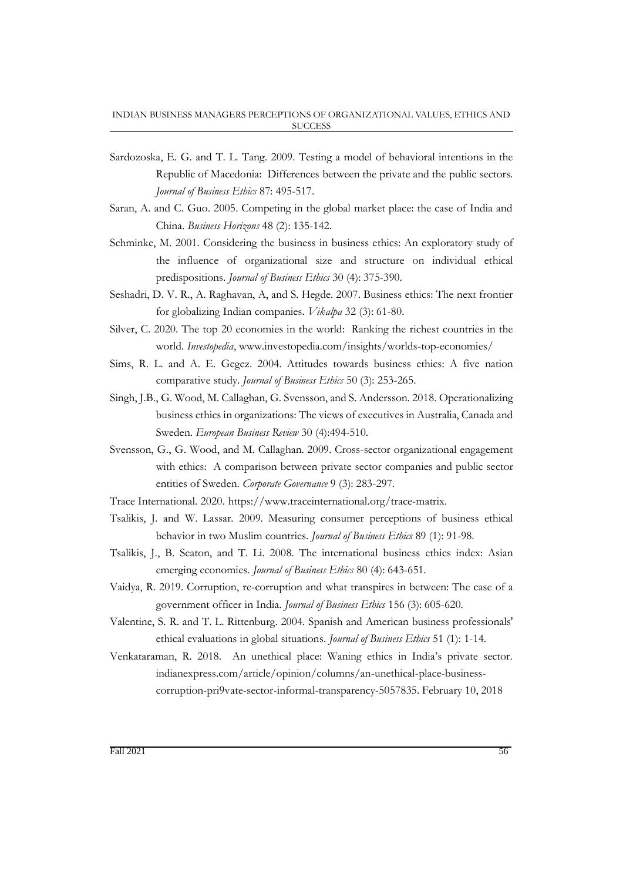- Sardozoska, E. G. and T. L. Tang. 2009. Testing a model of behavioral intentions in the Republic of Macedonia: Differences between the private and the public sectors. *Journal of Business Ethics* 87: 495-517.
- Saran, A. and C. Guo. 2005. Competing in the global market place: the case of India and China. *Business Horizons* 48 (2): 135-142.
- Schminke, M. 2001. Considering the business in business ethics: An exploratory study of the influence of organizational size and structure on individual ethical predispositions. *Journal of Business Ethics* 30 (4): 375-390.
- Seshadri, D. V. R., A. Raghavan, A, and S. Hegde. 2007. Business ethics: The next frontier for globalizing Indian companies. *Vikalpa* 32 (3): 61-80.
- Silver, C. 2020. The top 20 economies in the world: Ranking the richest countries in the world. *Investopedia*, www.investopedia.com/insights/worlds-top-economies/
- Sims, R. L. and A. E. Gegez. 2004. Attitudes towards business ethics: A five nation comparative study. *Journal of Business Ethics* 50 (3): 253-265.
- Singh, J.B., G. Wood, M. Callaghan, G. Svensson, and S. Andersson. 2018. Operationalizing business ethics in organizations: The views of executives in Australia, Canada and Sweden. *European Business Review* 30 (4):494-510.
- Svensson, G., G. Wood, and M. Callaghan. 2009. Cross-sector organizational engagement with ethics: A comparison between private sector companies and public sector entities of Sweden. *Corporate Governance* 9 (3): 283-297.
- Trace International. 2020. https://www.traceinternational.org/trace-matrix.
- Tsalikis, J. and W. Lassar. 2009. Measuring consumer perceptions of business ethical behavior in two Muslim countries. *Journal of Business Ethics* 89 (1): 91-98.
- Tsalikis, J., B. Seaton, and T. Li. 2008. The international business ethics index: Asian emerging economies. *Journal of Business Ethics* 80 (4): 643-651.
- Vaidya, R. 2019. Corruption, re-corruption and what transpires in between: The case of a government officer in India. *Journal of Business Ethics* 156 (3): 605-620.
- Valentine, S. R. and T. L. Rittenburg. 2004. Spanish and American business professionals' ethical evaluations in global situations. *Journal of Business Ethics* 51 (1): 1-14.
- Venkataraman, R. 2018. An unethical place: Waning ethics in India's private sector. indianexpress.com/article/opinion/columns/an-unethical-place-businesscorruption-pri9vate-sector-informal-transparency-5057835. February 10, 2018